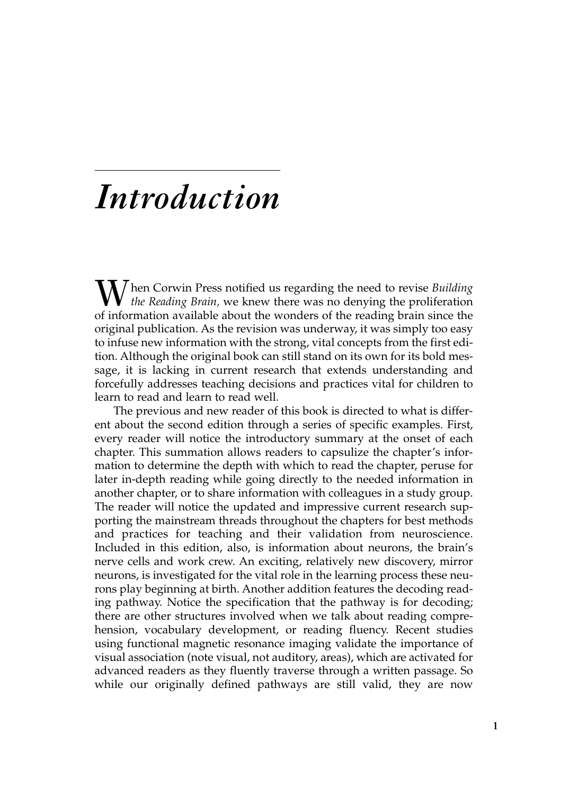## *Introduction*

**[***X*] hen Corwin Press notified us regarding the need to revise *Building the Reading Brain,* we knew there was no denying the proliferation of information available about the wonders of the reading brain since the original publication. As the revision was underway, it was simply too easy to infuse new information with the strong, vital concepts from the first edition. Although the original book can still stand on its own for its bold message, it is lacking in current research that extends understanding and forcefully addresses teaching decisions and practices vital for children to learn to read and learn to read well.

The previous and new reader of this book is directed to what is different about the second edition through a series of specific examples. First, every reader will notice the introductory summary at the onset of each chapter. This summation allows readers to capsulize the chapter's information to determine the depth with which to read the chapter, peruse for later in-depth reading while going directly to the needed information in another chapter, or to share information with colleagues in a study group. The reader will notice the updated and impressive current research supporting the mainstream threads throughout the chapters for best methods and practices for teaching and their validation from neuroscience. Included in this edition, also, is information about neurons, the brain's nerve cells and work crew. An exciting, relatively new discovery, mirror neurons, is investigated for the vital role in the learning process these neurons play beginning at birth. Another addition features the decoding reading pathway. Notice the specification that the pathway is for decoding; there are other structures involved when we talk about reading comprehension, vocabulary development, or reading fluency. Recent studies using functional magnetic resonance imaging validate the importance of visual association (note visual, not auditory, areas), which are activated for advanced readers as they fluently traverse through a written passage. So while our originally defined pathways are still valid, they are now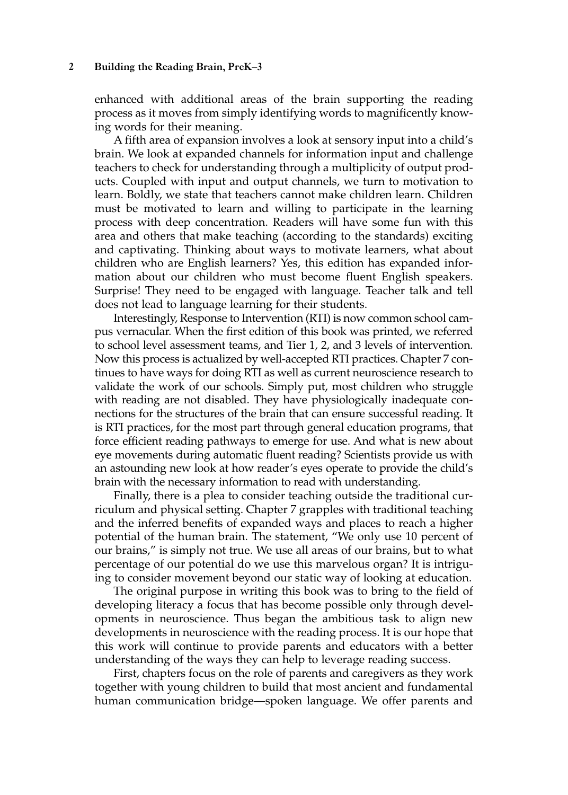enhanced with additional areas of the brain supporting the reading process as it moves from simply identifying words to magnificently knowing words for their meaning.

A fifth area of expansion involves a look at sensory input into a child's brain. We look at expanded channels for information input and challenge teachers to check for understanding through a multiplicity of output products. Coupled with input and output channels, we turn to motivation to learn. Boldly, we state that teachers cannot make children learn. Children must be motivated to learn and willing to participate in the learning process with deep concentration. Readers will have some fun with this area and others that make teaching (according to the standards) exciting and captivating. Thinking about ways to motivate learners, what about children who are English learners? Yes, this edition has expanded information about our children who must become fluent English speakers. Surprise! They need to be engaged with language. Teacher talk and tell does not lead to language learning for their students.

Interestingly, Response to Intervention (RTI) is now common school campus vernacular. When the first edition of this book was printed, we referred to school level assessment teams, and Tier 1, 2, and 3 levels of intervention. Now this process is actualized by well-accepted RTI practices. Chapter 7 continues to have ways for doing RTI as well as current neuroscience research to validate the work of our schools. Simply put, most children who struggle with reading are not disabled. They have physiologically inadequate connections for the structures of the brain that can ensure successful reading. It is RTI practices, for the most part through general education programs, that force efficient reading pathways to emerge for use. And what is new about eye movements during automatic fluent reading? Scientists provide us with an astounding new look at how reader's eyes operate to provide the child's brain with the necessary information to read with understanding.

Finally, there is a plea to consider teaching outside the traditional curriculum and physical setting. Chapter 7 grapples with traditional teaching and the inferred benefits of expanded ways and places to reach a higher potential of the human brain. The statement, "We only use 10 percent of our brains," is simply not true. We use all areas of our brains, but to what percentage of our potential do we use this marvelous organ? It is intriguing to consider movement beyond our static way of looking at education.

The original purpose in writing this book was to bring to the field of developing literacy a focus that has become possible only through developments in neuroscience. Thus began the ambitious task to align new developments in neuroscience with the reading process. It is our hope that this work will continue to provide parents and educators with a better understanding of the ways they can help to leverage reading success.

First, chapters focus on the role of parents and caregivers as they work together with young children to build that most ancient and fundamental human communication bridge—spoken language. We offer parents and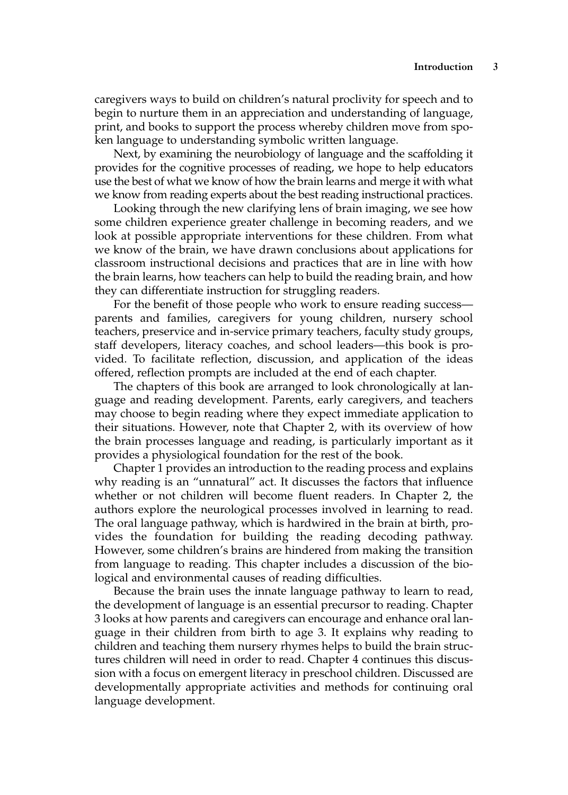caregivers ways to build on children's natural proclivity for speech and to begin to nurture them in an appreciation and understanding of language, print, and books to support the process whereby children move from spoken language to understanding symbolic written language.

Next, by examining the neurobiology of language and the scaffolding it provides for the cognitive processes of reading, we hope to help educators use the best of what we know of how the brain learns and merge it with what we know from reading experts about the best reading instructional practices.

Looking through the new clarifying lens of brain imaging, we see how some children experience greater challenge in becoming readers, and we look at possible appropriate interventions for these children. From what we know of the brain, we have drawn conclusions about applications for classroom instructional decisions and practices that are in line with how the brain learns, how teachers can help to build the reading brain, and how they can differentiate instruction for struggling readers.

For the benefit of those people who work to ensure reading success parents and families, caregivers for young children, nursery school teachers, preservice and in-service primary teachers, faculty study groups, staff developers, literacy coaches, and school leaders—this book is provided. To facilitate reflection, discussion, and application of the ideas offered, reflection prompts are included at the end of each chapter.

The chapters of this book are arranged to look chronologically at language and reading development. Parents, early caregivers, and teachers may choose to begin reading where they expect immediate application to their situations. However, note that Chapter 2, with its overview of how the brain processes language and reading, is particularly important as it provides a physiological foundation for the rest of the book.

Chapter 1 provides an introduction to the reading process and explains why reading is an "unnatural" act. It discusses the factors that influence whether or not children will become fluent readers. In Chapter 2, the authors explore the neurological processes involved in learning to read. The oral language pathway, which is hardwired in the brain at birth, provides the foundation for building the reading decoding pathway. However, some children's brains are hindered from making the transition from language to reading. This chapter includes a discussion of the biological and environmental causes of reading difficulties.

Because the brain uses the innate language pathway to learn to read, the development of language is an essential precursor to reading. Chapter 3 looks at how parents and caregivers can encourage and enhance oral language in their children from birth to age 3. It explains why reading to children and teaching them nursery rhymes helps to build the brain structures children will need in order to read. Chapter 4 continues this discussion with a focus on emergent literacy in preschool children. Discussed are developmentally appropriate activities and methods for continuing oral language development.